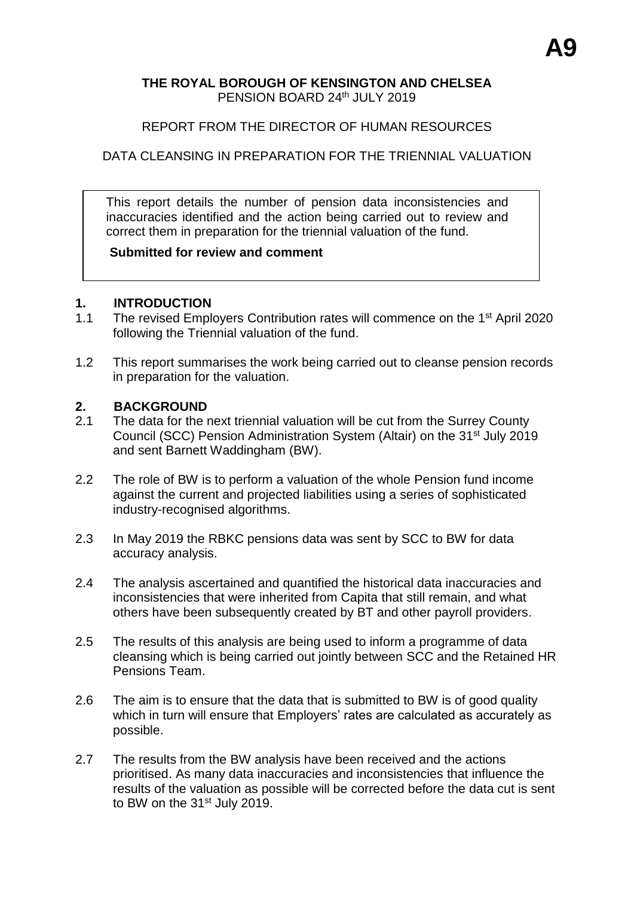## **THE ROYAL BOROUGH OF KENSINGTON AND CHELSEA** PENSION BOARD 24th JULY 2019

## REPORT FROM THE DIRECTOR OF HUMAN RESOURCES

## DATA CLEANSING IN PREPARATION FOR THE TRIENNIAL VALUATION

This report details the number of pension data inconsistencies and inaccuracies identified and the action being carried out to review and correct them in preparation for the triennial valuation of the fund.

#### **Submitted for review and comment**

#### **1. INTRODUCTION**

- 1.1 The revised Employers Contribution rates will commence on the 1<sup>st</sup> April 2020 following the Triennial valuation of the fund.
- 1.2 This report summarises the work being carried out to cleanse pension records in preparation for the valuation.

#### **2. BACKGROUND**

- 2.1 The data for the next triennial valuation will be cut from the Surrey County Council (SCC) Pension Administration System (Altair) on the 31<sup>st</sup> July 2019 and sent Barnett Waddingham (BW).
- 2.2 The role of BW is to perform a valuation of the whole Pension fund income against the current and projected liabilities using a series of sophisticated industry-recognised algorithms.
- 2.3 In May 2019 the RBKC pensions data was sent by SCC to BW for data accuracy analysis.
- 2.4 The analysis ascertained and quantified the historical data inaccuracies and inconsistencies that were inherited from Capita that still remain, and what others have been subsequently created by BT and other payroll providers.
- 2.5 The results of this analysis are being used to inform a programme of data cleansing which is being carried out jointly between SCC and the Retained HR Pensions Team.
- 2.6 The aim is to ensure that the data that is submitted to BW is of good quality which in turn will ensure that Employers' rates are calculated as accurately as possible.
- 2.7 The results from the BW analysis have been received and the actions prioritised. As many data inaccuracies and inconsistencies that influence the results of the valuation as possible will be corrected before the data cut is sent to BW on the 31<sup>st</sup> July 2019.